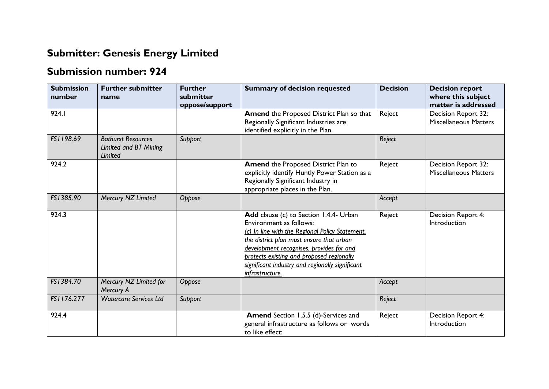## **Submitter: Genesis Energy Limited**

## **Submission number: 924**

| <b>Submission</b><br>number | <b>Further submitter</b><br>name                              | <b>Further</b><br>submitter<br>oppose/support | <b>Summary of decision requested</b>                                                                                                                                                                                                                                                                                            | <b>Decision</b> | <b>Decision report</b><br>where this subject<br>matter is addressed |
|-----------------------------|---------------------------------------------------------------|-----------------------------------------------|---------------------------------------------------------------------------------------------------------------------------------------------------------------------------------------------------------------------------------------------------------------------------------------------------------------------------------|-----------------|---------------------------------------------------------------------|
| 924.1                       |                                                               |                                               | Amend the Proposed District Plan so that<br>Regionally Significant Industries are<br>identified explicitly in the Plan.                                                                                                                                                                                                         | Reject          | Decision Report 32:<br><b>Miscellaneous Matters</b>                 |
| FS1198.69                   | <b>Bathurst Resources</b><br>Limited and BT Mining<br>Limited | Support                                       |                                                                                                                                                                                                                                                                                                                                 | Reject          |                                                                     |
| 924.2                       |                                                               |                                               | Amend the Proposed District Plan to<br>explicitly identify Huntly Power Station as a<br>Regionally Significant Industry in<br>appropriate places in the Plan.                                                                                                                                                                   | Reject          | Decision Report 32:<br><b>Miscellaneous Matters</b>                 |
| FS1385.90                   | Mercury NZ Limited                                            | Oppose                                        |                                                                                                                                                                                                                                                                                                                                 | Accept          |                                                                     |
| 924.3                       |                                                               |                                               | Add clause (c) to Section 1.4.4- Urban<br>Environment as follows:<br>(c) In line with the Regional Policy Statement.<br>the district plan must ensure that urban<br>development recognises, provides for and<br>protects existing and proposed regionally<br>significant industry and regionally significant<br>infrastructure. | Reject          | Decision Report 4:<br>Introduction                                  |
| FS1384.70                   | Mercury NZ Limited for<br>Mercury A                           | Oppose                                        |                                                                                                                                                                                                                                                                                                                                 | Accept          |                                                                     |
| FS1176.277                  | <b>Watercare Services Ltd</b>                                 | Support                                       |                                                                                                                                                                                                                                                                                                                                 | Reject          |                                                                     |
| 924.4                       |                                                               |                                               | <b>Amend</b> Section 1.5.5 (d)-Services and<br>general infrastructure as follows or words<br>to like effect:                                                                                                                                                                                                                    | Reject          | Decision Report 4:<br>Introduction                                  |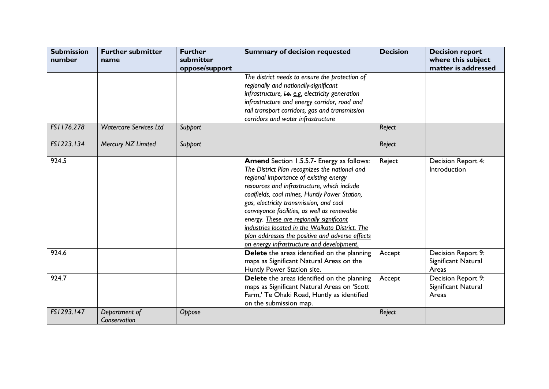| <b>Submission</b><br>number | <b>Further submitter</b><br>name | <b>Further</b><br>submitter<br>oppose/support | <b>Summary of decision requested</b>                                                                                                                                                                                                                                                                                                                                                                                                                                                                                                 | <b>Decision</b> | <b>Decision report</b><br>where this subject<br>matter is addressed |
|-----------------------------|----------------------------------|-----------------------------------------------|--------------------------------------------------------------------------------------------------------------------------------------------------------------------------------------------------------------------------------------------------------------------------------------------------------------------------------------------------------------------------------------------------------------------------------------------------------------------------------------------------------------------------------------|-----------------|---------------------------------------------------------------------|
|                             |                                  |                                               | The district needs to ensure the protection of<br>regionally and nationally-significant<br>infrastructure, i.e. e.g. electricity generation<br>infrastructure and energy corridor, road and<br>rail transport corridors, gas and transmission<br>corridors and water infrastructure                                                                                                                                                                                                                                                  |                 |                                                                     |
| FS1176.278                  | <b>Watercare Services Ltd</b>    | Support                                       |                                                                                                                                                                                                                                                                                                                                                                                                                                                                                                                                      | Reject          |                                                                     |
| FS1223.134                  | Mercury NZ Limited               | Support                                       |                                                                                                                                                                                                                                                                                                                                                                                                                                                                                                                                      | Reject          |                                                                     |
| 924.5                       |                                  |                                               | <b>Amend</b> Section 1.5.5.7- Energy as follows:<br>The District Plan recognizes the national and<br>regional importance of existing energy<br>resources and infrastructure, which include<br>coalfields, coal mines, Huntly Power Station,<br>gas, electricity transmission, and coal<br>conveyance facilities, as well as renewable<br>energy. These are regionally significant<br>industries located in the Waikato District. The<br>plan addresses the positive and adverse effects<br>on energy infrastructure and development. | Reject          | Decision Report 4:<br>Introduction                                  |
| 924.6                       |                                  |                                               | Delete the areas identified on the planning<br>maps as Significant Natural Areas on the<br>Huntly Power Station site.                                                                                                                                                                                                                                                                                                                                                                                                                | Accept          | Decision Report 9:<br>Significant Natural<br>Areas                  |
| 924.7                       |                                  |                                               | Delete the areas identified on the planning<br>maps as Significant Natural Areas on 'Scott<br>Farm,' Te Ohaki Road, Huntly as identified<br>on the submission map.                                                                                                                                                                                                                                                                                                                                                                   | Accept          | Decision Report 9:<br>Significant Natural<br>Areas                  |
| FS1293.147                  | Department of<br>Conservation    | Oppose                                        |                                                                                                                                                                                                                                                                                                                                                                                                                                                                                                                                      | Reject          |                                                                     |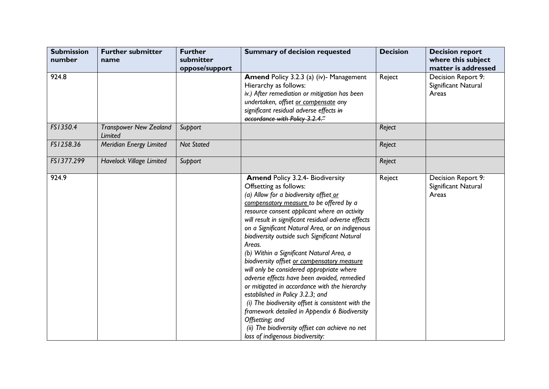| <b>Submission</b><br>number | <b>Further submitter</b><br>name         | <b>Further</b><br>submitter | <b>Summary of decision requested</b>                                                                                                                                                                                                                                                                                                                                                                                                                                                                                                                                                                                                                                                                                                                                                                                                                                     | <b>Decision</b> | <b>Decision report</b><br>where this subject                              |
|-----------------------------|------------------------------------------|-----------------------------|--------------------------------------------------------------------------------------------------------------------------------------------------------------------------------------------------------------------------------------------------------------------------------------------------------------------------------------------------------------------------------------------------------------------------------------------------------------------------------------------------------------------------------------------------------------------------------------------------------------------------------------------------------------------------------------------------------------------------------------------------------------------------------------------------------------------------------------------------------------------------|-----------------|---------------------------------------------------------------------------|
| 924.8                       |                                          | oppose/support              | <b>Amend Policy 3.2.3 (a) (iv)- Management</b><br>Hierarchy as follows:<br>iv.) After remediation or mitigation has been<br>undertaken, offset or compensate any<br>significant residual adverse effects in<br>accordance with Policy 3.2.4."                                                                                                                                                                                                                                                                                                                                                                                                                                                                                                                                                                                                                            | Reject          | matter is addressed<br>Decision Report 9:<br>Significant Natural<br>Areas |
| FS1350.4                    | <b>Transpower New Zealand</b><br>Limited | Support                     |                                                                                                                                                                                                                                                                                                                                                                                                                                                                                                                                                                                                                                                                                                                                                                                                                                                                          | Reject          |                                                                           |
| FS1258.36                   | Meridian Energy Limited                  | <b>Not Stated</b>           |                                                                                                                                                                                                                                                                                                                                                                                                                                                                                                                                                                                                                                                                                                                                                                                                                                                                          | Reject          |                                                                           |
| FS1377.299                  | <b>Havelock Village Limited</b>          | Support                     |                                                                                                                                                                                                                                                                                                                                                                                                                                                                                                                                                                                                                                                                                                                                                                                                                                                                          | Reject          |                                                                           |
| 924.9                       |                                          |                             | <b>Amend Policy 3.2.4- Biodiversity</b><br>Offsetting as follows:<br>(a) Allow for a biodiversity offset or<br>compensatory measure to be offered by a<br>resource consent applicant where an activity<br>will result in significant residual adverse effects<br>on a Significant Natural Area, or on indigenous<br>biodiversity outside such Significant Natural<br>Areas.<br>(b) Within a Significant Natural Area, a<br>biodiversity offset or compensatory measure<br>will only be considered appropriate where<br>adverse effects have been avoided, remedied<br>or mitigated in accordance with the hierarchy<br>established in Policy 3.2.3; and<br>(i) The biodiversity offset is consistent with the<br>framework detailed in Appendix 6 Biodiversity<br>Offsetting; and<br>(ii) The biodiversity offset can achieve no net<br>loss of indigenous biodiversity: | Reject          | Decision Report 9:<br>Significant Natural<br>Areas                        |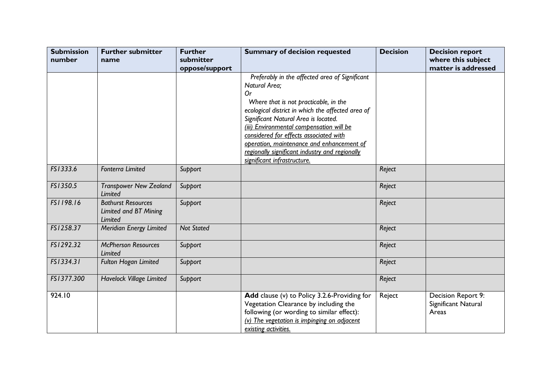| <b>Submission</b><br>number | <b>Further submitter</b><br>name                                     | <b>Further</b><br>submitter | <b>Summary of decision requested</b>                                                                                                                                                                                                                                                                                                                                                                                            | <b>Decision</b> | <b>Decision report</b><br>where this subject<br>matter is addressed |
|-----------------------------|----------------------------------------------------------------------|-----------------------------|---------------------------------------------------------------------------------------------------------------------------------------------------------------------------------------------------------------------------------------------------------------------------------------------------------------------------------------------------------------------------------------------------------------------------------|-----------------|---------------------------------------------------------------------|
|                             |                                                                      | oppose/support              | Preferably in the affected area of Significant<br>Natural Area;<br>0r<br>Where that is not practicable, in the<br>ecological district in which the affected area of<br>Significant Natural Area is located.<br>(iii) Environmental compensation will be<br>considered for effects associated with<br>operation, maintenance and enhancement of<br>regionally significant industry and regionally<br>significant infrastructure. |                 |                                                                     |
| FS1333.6                    | <b>Fonterra Limited</b>                                              | Support                     |                                                                                                                                                                                                                                                                                                                                                                                                                                 | Reject          |                                                                     |
| FS1350.5                    | <b>Transpower New Zealand</b><br>Limited                             | Support                     |                                                                                                                                                                                                                                                                                                                                                                                                                                 | Reject          |                                                                     |
| FS1198.16                   | <b>Bathurst Resources</b><br>Limited and BT Mining<br><b>Limited</b> | Support                     |                                                                                                                                                                                                                                                                                                                                                                                                                                 | Reject          |                                                                     |
| FS1258.37                   | Meridian Energy Limited                                              | <b>Not Stated</b>           |                                                                                                                                                                                                                                                                                                                                                                                                                                 | Reject          |                                                                     |
| FS1292.32                   | <b>McPherson Resources</b><br>Limited                                | Support                     |                                                                                                                                                                                                                                                                                                                                                                                                                                 | Reject          |                                                                     |
| FS1334.31                   | <b>Fulton Hogan Limited</b>                                          | Support                     |                                                                                                                                                                                                                                                                                                                                                                                                                                 | Reject          |                                                                     |
| FS1377.300                  | <b>Havelock Village Limited</b>                                      | Support                     |                                                                                                                                                                                                                                                                                                                                                                                                                                 | Reject          |                                                                     |
| 924.10                      |                                                                      |                             | Add clause (v) to Policy 3.2.6-Providing for<br>Vegetation Clearance by including the<br>following (or wording to similar effect):<br>$(v)$ The vegetation is impinging on adjacent<br>existing activities.                                                                                                                                                                                                                     | Reject          | Decision Report 9:<br>Significant Natural<br>Areas                  |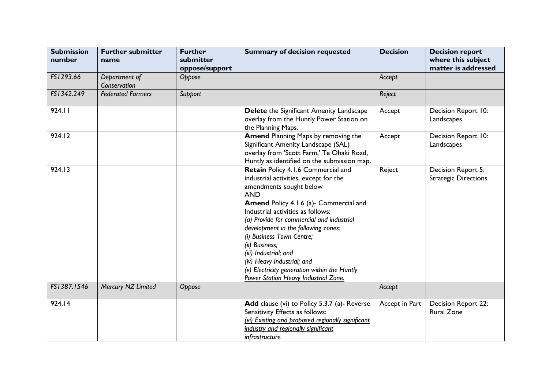| <b>Submission</b><br>number | <b>Further submitter</b><br>name | <b>Further</b><br>submitter<br>oppose/support | <b>Summary of decision requested</b>                                                                                                                                                                                                                                                                                                                                                                                                                                                         | <b>Decision</b> | <b>Decision report</b><br>where this subject<br>matter is addressed |
|-----------------------------|----------------------------------|-----------------------------------------------|----------------------------------------------------------------------------------------------------------------------------------------------------------------------------------------------------------------------------------------------------------------------------------------------------------------------------------------------------------------------------------------------------------------------------------------------------------------------------------------------|-----------------|---------------------------------------------------------------------|
| FS1293.66                   | Department of<br>Conservation    | Oppose                                        |                                                                                                                                                                                                                                                                                                                                                                                                                                                                                              | Accept          |                                                                     |
| FS1342.249                  | <b>Federated Farmers</b>         | Support                                       |                                                                                                                                                                                                                                                                                                                                                                                                                                                                                              | Reject          |                                                                     |
| 924.11                      |                                  |                                               | Delete the Significant Amenity Landscape<br>overlay from the Huntly Power Station on<br>the Planning Maps.                                                                                                                                                                                                                                                                                                                                                                                   | Accept          | Decision Report 10:<br>Landscapes                                   |
| 924.12                      |                                  |                                               | <b>Amend Planning Maps by removing the</b><br>Significant Amenity Landscape (SAL)<br>overlay from 'Scott Farm,' Te Ohaki Road,<br>Huntly as identified on the submission map.                                                                                                                                                                                                                                                                                                                | Accept          | Decision Report 10:<br>Landscapes                                   |
| 924.13                      |                                  |                                               | Retain Policy 4.1.6 Commercial and<br>industrial activities, except for the<br>amendments sought below<br><b>AND</b><br><b>Amend Policy 4.1.6 (a)- Commercial and</b><br>Industrial activities as follows:<br>(a) Provide for commercial and industrial<br>development in the following zones:<br>(i) Business Town Centre;<br>(ii) Business;<br>(iii) Industrial; and<br>(iv) Heavy Industrial; and<br>(v) Electricity generation within the Huntly<br>Power Station Heavy Industrial Zone. | Reject          | Decision Report 5:<br><b>Strategic Directions</b>                   |
| FS1387.1546                 | Mercury NZ Limited               | Oppose                                        |                                                                                                                                                                                                                                                                                                                                                                                                                                                                                              | Accept          |                                                                     |
| 924.14                      |                                  |                                               | Add clause (vi) to Policy 5.3.7 (a)- Reverse<br>Sensitivity Effects as follows:<br>(vi) Existing and proposed regionally significant<br>industry and regionally significant<br>infrastructure.                                                                                                                                                                                                                                                                                               | Accept in Part  | Decision Report 22:<br><b>Rural Zone</b>                            |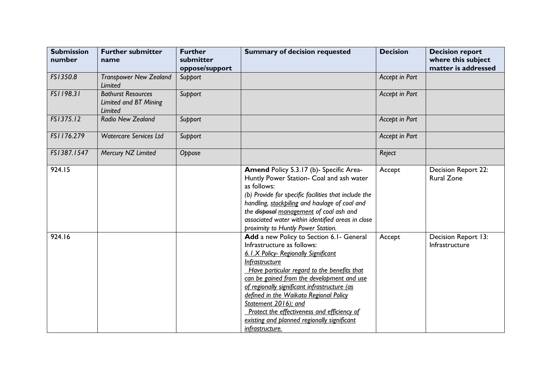| <b>Submission</b><br>number | <b>Further submitter</b><br>name                              | <b>Further</b><br>submitter<br>oppose/support | <b>Summary of decision requested</b>                                                                                                                                                                                                                                                                                                                                                                                                                             | <b>Decision</b> | <b>Decision report</b><br>where this subject<br>matter is addressed |
|-----------------------------|---------------------------------------------------------------|-----------------------------------------------|------------------------------------------------------------------------------------------------------------------------------------------------------------------------------------------------------------------------------------------------------------------------------------------------------------------------------------------------------------------------------------------------------------------------------------------------------------------|-----------------|---------------------------------------------------------------------|
| FS1350.8                    | <b>Transpower New Zealand</b><br>Limited                      | Support                                       |                                                                                                                                                                                                                                                                                                                                                                                                                                                                  | Accept in Part  |                                                                     |
| FS1198.31                   | <b>Bathurst Resources</b><br>Limited and BT Mining<br>Limited | Support                                       |                                                                                                                                                                                                                                                                                                                                                                                                                                                                  | Accept in Part  |                                                                     |
| FS1375.12                   | <b>Radio New Zealand</b>                                      | Support                                       |                                                                                                                                                                                                                                                                                                                                                                                                                                                                  | Accept in Part  |                                                                     |
| FS1176.279                  | <b>Watercare Services Ltd</b>                                 | Support                                       |                                                                                                                                                                                                                                                                                                                                                                                                                                                                  | Accept in Part  |                                                                     |
| FS1387.1547                 | Mercury NZ Limited                                            | Oppose                                        |                                                                                                                                                                                                                                                                                                                                                                                                                                                                  | Reject          |                                                                     |
| 924.15                      |                                                               |                                               | Amend Policy 5.3.17 (b)- Specific Area-<br>Huntly Power Station- Coal and ash water<br>as follows:<br>(b) Provide for specific facilities that include the<br>handling, stockpiling and haulage of coal and<br>the disposal management of coal ash and<br>associated water within identified areas in close<br>proximity to Huntly Power Station.                                                                                                                | Accept          | Decision Report 22:<br><b>Rural Zone</b>                            |
| 924.16                      |                                                               |                                               | Add a new Policy to Section 6.1- General<br>Infrastructure as follows:<br>6.1.X Policy- Regionally Significant<br>Infrastructure<br>Have particular regard to the benefits that<br>can be gained from the development and use<br>of regionally significant infrastructure (as<br>defined in the Waikato Regional Policy<br>Statement 2016); and<br>Protect the effectiveness and efficiency of<br>existing and planned regionally significant<br>infrastructure. | Accept          | Decision Report 13:<br>Infrastructure                               |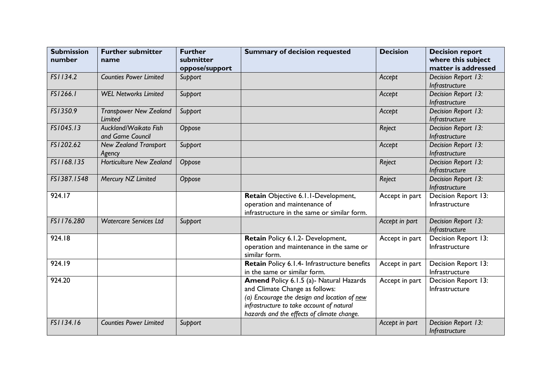| <b>Submission</b><br>number | <b>Further submitter</b><br>name                | <b>Further</b><br>submitter<br>oppose/support | <b>Summary of decision requested</b>                                                                                                                                                                                        | <b>Decision</b> | <b>Decision report</b><br>where this subject<br>matter is addressed |
|-----------------------------|-------------------------------------------------|-----------------------------------------------|-----------------------------------------------------------------------------------------------------------------------------------------------------------------------------------------------------------------------------|-----------------|---------------------------------------------------------------------|
| FS1134.2                    | <b>Counties Power Limited</b>                   | Support                                       |                                                                                                                                                                                                                             | Accept          | Decision Report 13:<br>Infrastructure                               |
| FS1266.1                    | <b>WEL Networks Limited</b>                     | Support                                       |                                                                                                                                                                                                                             | Accept          | Decision Report 13:<br>Infrastructure                               |
| FS1350.9                    | <b>Transpower New Zealand</b><br><b>Limited</b> | Support                                       |                                                                                                                                                                                                                             | Accept          | Decision Report 13:<br>Infrastructure                               |
| FS1045.13                   | Auckland/Waikato Fish<br>and Game Council       | Oppose                                        |                                                                                                                                                                                                                             | Reject          | Decision Report 13:<br>Infrastructure                               |
| FS1202.62                   | <b>New Zealand Transport</b><br>Agency          | Support                                       |                                                                                                                                                                                                                             | Accept          | Decision Report 13:<br>Infrastructure                               |
| FS1168.135                  | <b>Horticulture New Zealand</b>                 | Oppose                                        |                                                                                                                                                                                                                             | Reject          | Decision Report 13:<br>Infrastructure                               |
| FS1387.1548                 | Mercury NZ Limited                              | Oppose                                        |                                                                                                                                                                                                                             | Reject          | Decision Report 13:<br>Infrastructure                               |
| 924.17                      |                                                 |                                               | Retain Objective 6.1.1-Development,<br>operation and maintenance of<br>infrastructure in the same or similar form.                                                                                                          | Accept in part  | <b>Decision Report 13:</b><br>Infrastructure                        |
| FS1176.280                  | <b>Watercare Services Ltd</b>                   | Support                                       |                                                                                                                                                                                                                             | Accept in part  | Decision Report 13:<br>Infrastructure                               |
| 924.18                      |                                                 |                                               | Retain Policy 6.1.2- Development,<br>operation and maintenance in the same or<br>similar form.                                                                                                                              | Accept in part  | Decision Report 13:<br>Infrastructure                               |
| 924.19                      |                                                 |                                               | Retain Policy 6.1.4- Infrastructure benefits<br>in the same or similar form.                                                                                                                                                | Accept in part  | Decision Report 13:<br>Infrastructure                               |
| 924.20                      |                                                 |                                               | <b>Amend Policy 6.1.5 (a)- Natural Hazards</b><br>and Climate Change as follows:<br>(a) Encourage the design and location of new<br>infrastructure to take account of natural<br>hazards and the effects of climate change. | Accept in part  | Decision Report 13:<br>Infrastructure                               |
| FS1134.16                   | <b>Counties Power Limited</b>                   | Support                                       |                                                                                                                                                                                                                             | Accept in part  | Decision Report 13:<br>Infrastructure                               |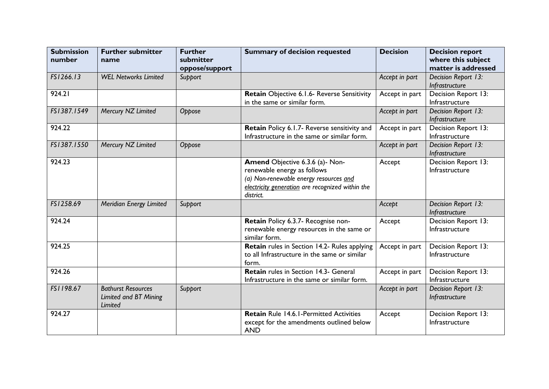| <b>Submission</b><br>number | <b>Further submitter</b><br>name                              | <b>Further</b><br>submitter<br>oppose/support | <b>Summary of decision requested</b>                                                                                                                                      | <b>Decision</b> | <b>Decision report</b><br>where this subject<br>matter is addressed |
|-----------------------------|---------------------------------------------------------------|-----------------------------------------------|---------------------------------------------------------------------------------------------------------------------------------------------------------------------------|-----------------|---------------------------------------------------------------------|
| FS1266.13                   | <b>WEL Networks Limited</b>                                   | Support                                       |                                                                                                                                                                           | Accept in part  | Decision Report 13:<br>Infrastructure                               |
| 924.21                      |                                                               |                                               | Retain Objective 6.1.6- Reverse Sensitivity<br>in the same or similar form.                                                                                               | Accept in part  | Decision Report 13:<br>Infrastructure                               |
| FS1387.1549                 | Mercury NZ Limited                                            | Oppose                                        |                                                                                                                                                                           | Accept in part  | Decision Report 13:<br>Infrastructure                               |
| 924.22                      |                                                               |                                               | Retain Policy 6.1.7- Reverse sensitivity and<br>Infrastructure in the same or similar form.                                                                               | Accept in part  | Decision Report 13:<br>Infrastructure                               |
| FS1387.1550                 | Mercury NZ Limited                                            | Oppose                                        |                                                                                                                                                                           | Accept in part  | Decision Report 13:<br>Infrastructure                               |
| 924.23                      |                                                               |                                               | Amend Objective 6.3.6 (a)- Non-<br>renewable energy as follows<br>(a) Non-renewable energy resources and<br>electricity generation are recognized within the<br>district. | Accept          | Decision Report 13:<br>Infrastructure                               |
| FS1258.69                   | Meridian Energy Limited                                       | Support                                       |                                                                                                                                                                           | Accept          | Decision Report 13:<br>Infrastructure                               |
| 924.24                      |                                                               |                                               | Retain Policy 6.3.7- Recognise non-<br>renewable energy resources in the same or<br>similar form.                                                                         | Accept          | Decision Report 13:<br>Infrastructure                               |
| 924.25                      |                                                               |                                               | Retain rules in Section 14.2- Rules applying<br>to all Infrastructure in the same or similar<br>form.                                                                     | Accept in part  | Decision Report 13:<br>Infrastructure                               |
| 924.26                      |                                                               |                                               | Retain rules in Section 14.3- General<br>Infrastructure in the same or similar form.                                                                                      | Accept in part  | Decision Report 13:<br>Infrastructure                               |
| FS1198.67                   | <b>Bathurst Resources</b><br>Limited and BT Mining<br>Limited | Support                                       |                                                                                                                                                                           | Accept in part  | Decision Report 13:<br>Infrastructure                               |
| 924.27                      |                                                               |                                               | <b>Retain Rule 14.6.1-Permitted Activities</b><br>except for the amendments outlined below<br><b>AND</b>                                                                  | Accept          | Decision Report 13:<br>Infrastructure                               |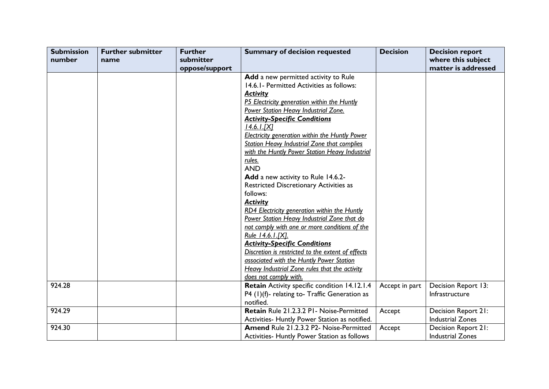| <b>Submission</b> | <b>Further submitter</b> | <b>Further</b> | <b>Summary of decision requested</b>                  | <b>Decision</b> | <b>Decision report</b>  |
|-------------------|--------------------------|----------------|-------------------------------------------------------|-----------------|-------------------------|
| number            | name                     | submitter      |                                                       |                 | where this subject      |
|                   |                          | oppose/support |                                                       |                 | matter is addressed     |
|                   |                          |                | Add a new permitted activity to Rule                  |                 |                         |
|                   |                          |                | 14.6.1 - Permitted Activities as follows:             |                 |                         |
|                   |                          |                | <b>Activity</b>                                       |                 |                         |
|                   |                          |                | P5 Electricity generation within the Huntly           |                 |                         |
|                   |                          |                | Power Station Heavy Industrial Zone.                  |                 |                         |
|                   |                          |                | <b>Activity-Specific Conditions</b>                   |                 |                         |
|                   |                          |                | $14.6.1$ . $[X]$                                      |                 |                         |
|                   |                          |                | <b>Electricity generation within the Huntly Power</b> |                 |                         |
|                   |                          |                | <b>Station Heavy Industrial Zone that complies</b>    |                 |                         |
|                   |                          |                | with the Huntly Power Station Heavy Industrial        |                 |                         |
|                   |                          |                | rules.                                                |                 |                         |
|                   |                          |                | <b>AND</b>                                            |                 |                         |
|                   |                          |                | Add a new activity to Rule 14.6.2-                    |                 |                         |
|                   |                          |                | <b>Restricted Discretionary Activities as</b>         |                 |                         |
|                   |                          |                | follows:                                              |                 |                         |
|                   |                          |                | <b>Activity</b>                                       |                 |                         |
|                   |                          |                | RD4 Electricity generation within the Huntly          |                 |                         |
|                   |                          |                | Power Station Heavy Industrial Zone that do           |                 |                         |
|                   |                          |                | not comply with one or more conditions of the         |                 |                         |
|                   |                          |                | Rule 14.6.1.[X].                                      |                 |                         |
|                   |                          |                | <b>Activity-Specific Conditions</b>                   |                 |                         |
|                   |                          |                | Discretion is restricted to the extent of effects     |                 |                         |
|                   |                          |                | associated with the Huntly Power Station              |                 |                         |
|                   |                          |                | Heavy Industrial Zone rules that the activity         |                 |                         |
|                   |                          |                | does not comply with.                                 |                 |                         |
| 924.28            |                          |                | Retain Activity specific condition 14.12.1.4          | Accept in part  | Decision Report 13:     |
|                   |                          |                | P4 (1)(f)- relating to-Traffic Generation as          |                 | Infrastructure          |
|                   |                          |                | notified.                                             |                 |                         |
| 924.29            |                          |                | Retain Rule 21.2.3.2 P1 - Noise-Permitted             | Accept          | Decision Report 21:     |
|                   |                          |                | Activities- Huntly Power Station as notified.         |                 | <b>Industrial Zones</b> |
| 924.30            |                          |                | Amend Rule 21.2.3.2 P2- Noise-Permitted               | Accept          | Decision Report 21:     |
|                   |                          |                | Activities- Huntly Power Station as follows           |                 | <b>Industrial Zones</b> |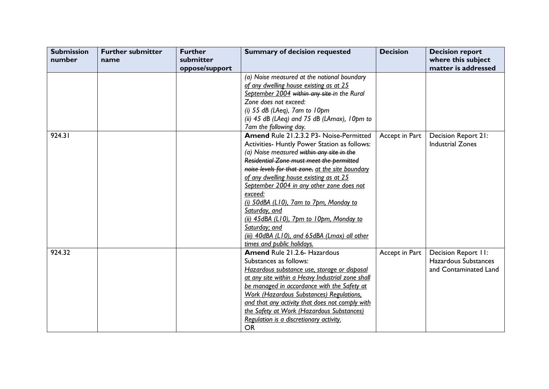| <b>Submission</b> | <b>Further submitter</b> | <b>Further</b> | <b>Summary of decision requested</b>               | <b>Decision</b> | <b>Decision report</b>  |
|-------------------|--------------------------|----------------|----------------------------------------------------|-----------------|-------------------------|
| number            | name                     | submitter      |                                                    |                 | where this subject      |
|                   |                          | oppose/support |                                                    |                 | matter is addressed     |
|                   |                          |                | (a) Noise measured at the notional boundary        |                 |                         |
|                   |                          |                | of any dwelling house existing as at 25            |                 |                         |
|                   |                          |                | September 2004 within any site in the Rural        |                 |                         |
|                   |                          |                | Zone does not exceed:                              |                 |                         |
|                   |                          |                | (i) $55$ dB (LAeq), 7am to 10pm                    |                 |                         |
|                   |                          |                | (ii) $45$ dB (LAeq) and $75$ dB (LAmax), $10pm$ to |                 |                         |
|                   |                          |                | 7am the following day.                             |                 |                         |
| 924.31            |                          |                | Amend Rule 21.2.3.2 P3- Noise-Permitted            | Accept in Part  | Decision Report 21:     |
|                   |                          |                | Activities- Huntly Power Station as follows:       |                 | <b>Industrial Zones</b> |
|                   |                          |                | (a) Noise measured within any site in the          |                 |                         |
|                   |                          |                | Residential Zone must meet the permitted           |                 |                         |
|                   |                          |                | noise levels for that zone, at the site boundary   |                 |                         |
|                   |                          |                | of any dwelling house existing as at 25            |                 |                         |
|                   |                          |                | September 2004 in any other zone does not          |                 |                         |
|                   |                          |                | exceed:                                            |                 |                         |
|                   |                          |                | (i) 50dBA (L10), 7am to 7pm, Monday to             |                 |                         |
|                   |                          |                | Saturday, and                                      |                 |                         |
|                   |                          |                | (ii) 45dBA (L10), 7pm to 10pm, Monday to           |                 |                         |
|                   |                          |                | Saturday; and                                      |                 |                         |
|                   |                          |                | (iii) 40dBA (L10), and 65dBA (Lmax) all other      |                 |                         |
|                   |                          |                | times and public holidays.                         |                 |                         |
| 924.32            |                          |                | <b>Amend Rule 21.2.6- Hazardous</b>                | Accept in Part  | Decision Report II:     |
|                   |                          |                | Substances as follows:                             |                 | Hazardous Substances    |
|                   |                          |                | Hazardous substance use, storage or disposal       |                 | and Contaminated Land   |
|                   |                          |                | at any site within a Heavy Industrial zone shall   |                 |                         |
|                   |                          |                | be managed in accordance with the Safety at        |                 |                         |
|                   |                          |                | <b>Work (Hazardous Substances) Regulations,</b>    |                 |                         |
|                   |                          |                | and that any activity that does not comply with    |                 |                         |
|                   |                          |                | the Safety at Work (Hazardous Substances)          |                 |                         |
|                   |                          |                | Regulation is a discretionary activity.            |                 |                         |
|                   |                          |                | <b>OR</b>                                          |                 |                         |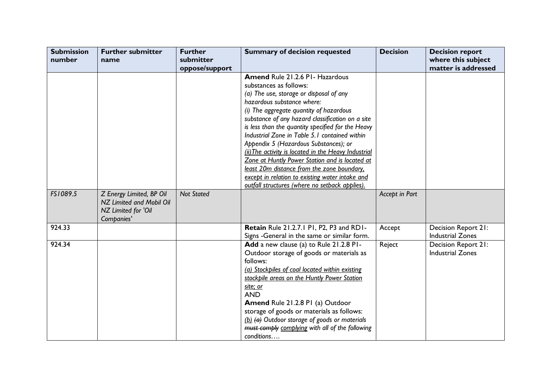| <b>Submission</b><br>number | <b>Further submitter</b><br>name | <b>Further</b><br>submitter | <b>Summary of decision requested</b>                 | <b>Decision</b> | <b>Decision report</b><br>where this subject |
|-----------------------------|----------------------------------|-----------------------------|------------------------------------------------------|-----------------|----------------------------------------------|
|                             |                                  | oppose/support              |                                                      |                 | matter is addressed                          |
|                             |                                  |                             | Amend Rule 21.2.6 P1- Hazardous                      |                 |                                              |
|                             |                                  |                             | substances as follows:                               |                 |                                              |
|                             |                                  |                             | (a) The use, storage or disposal of any              |                 |                                              |
|                             |                                  |                             | hazardous substance where:                           |                 |                                              |
|                             |                                  |                             | (i) The aggregate quantity of hazardous              |                 |                                              |
|                             |                                  |                             | substance of any hazard classification on a site     |                 |                                              |
|                             |                                  |                             | is less than the quantity specified for the Heavy    |                 |                                              |
|                             |                                  |                             | Industrial Zone in Table 5.1 contained within        |                 |                                              |
|                             |                                  |                             | Appendix 5 (Hazardous Substances); or                |                 |                                              |
|                             |                                  |                             | (ii) The activity is located in the Heavy Industrial |                 |                                              |
|                             |                                  |                             | Zone at Huntly Power Station and is located at       |                 |                                              |
|                             |                                  |                             | least 20m distance from the zone boundary.           |                 |                                              |
|                             |                                  |                             | except in relation to existing water intake and      |                 |                                              |
|                             |                                  |                             | outfall structures (where no setback applies).       |                 |                                              |
| FS1089.5                    | Z Energy Limited, BP Oil         | <b>Not Stated</b>           |                                                      | Accept in Part  |                                              |
|                             | NZ Limited and Mobil Oil         |                             |                                                      |                 |                                              |
|                             | NZ Limited for 'Oil              |                             |                                                      |                 |                                              |
|                             | Companies'                       |                             |                                                      |                 |                                              |
| 924.33                      |                                  |                             | Retain Rule 21.2.7.1 P1, P2, P3 and RD1-             | Accept          | Decision Report 21:                          |
|                             |                                  |                             | Signs - General in the same or similar form.         |                 | <b>Industrial Zones</b>                      |
| 924.34                      |                                  |                             | Add a new clause (a) to Rule 21.2.8 P1-              | Reject          | <b>Decision Report 21:</b>                   |
|                             |                                  |                             | Outdoor storage of goods or materials as             |                 | <b>Industrial Zones</b>                      |
|                             |                                  |                             | follows:                                             |                 |                                              |
|                             |                                  |                             | (a) Stockpiles of coal located within existing       |                 |                                              |
|                             |                                  |                             | stockpile areas on the Huntly Power Station          |                 |                                              |
|                             |                                  |                             | site; or                                             |                 |                                              |
|                             |                                  |                             | <b>AND</b>                                           |                 |                                              |
|                             |                                  |                             | Amend Rule 21.2.8 PI (a) Outdoor                     |                 |                                              |
|                             |                                  |                             | storage of goods or materials as follows:            |                 |                                              |
|                             |                                  |                             | (b) (a) Outdoor storage of goods or materials        |                 |                                              |
|                             |                                  |                             | must comply complying with all of the following      |                 |                                              |
|                             |                                  |                             | conditions                                           |                 |                                              |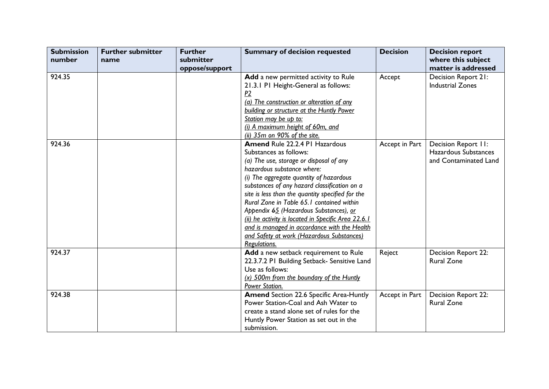| <b>Submission</b><br>number | <b>Further submitter</b><br>name | <b>Further</b><br>submitter | <b>Summary of decision requested</b>                | <b>Decision</b> | <b>Decision report</b><br>where this subject |
|-----------------------------|----------------------------------|-----------------------------|-----------------------------------------------------|-----------------|----------------------------------------------|
|                             |                                  | oppose/support              |                                                     |                 | matter is addressed                          |
| 924.35                      |                                  |                             | Add a new permitted activity to Rule                | Accept          | Decision Report 21:                          |
|                             |                                  |                             | 21.3.1 P1 Height-General as follows:                |                 | <b>Industrial Zones</b>                      |
|                             |                                  |                             | P2                                                  |                 |                                              |
|                             |                                  |                             | (a) The construction or alteration of any           |                 |                                              |
|                             |                                  |                             | building or structure at the Huntly Power           |                 |                                              |
|                             |                                  |                             | Station may be up to:                               |                 |                                              |
|                             |                                  |                             | (i) A maximum height of 60m, and                    |                 |                                              |
|                             |                                  |                             | (ii) 35m on 90% of the site.                        |                 |                                              |
| 924.36                      |                                  |                             | <b>Amend Rule 22.2.4 PI Hazardous</b>               | Accept in Part  | Decision Report II:                          |
|                             |                                  |                             | Substances as follows:                              |                 | Hazardous Substances                         |
|                             |                                  |                             | (a) The use, storage or disposal of any             |                 | and Contaminated Land                        |
|                             |                                  |                             | hazardous substance where:                          |                 |                                              |
|                             |                                  |                             | (i) The aggregate quantity of hazardous             |                 |                                              |
|                             |                                  |                             | substances of any hazard classification on a        |                 |                                              |
|                             |                                  |                             | site is less than the quantity specified for the    |                 |                                              |
|                             |                                  |                             | Rural Zone in Table 65.1 contained within           |                 |                                              |
|                             |                                  |                             | Appendix 65 (Hazardous Substances), or              |                 |                                              |
|                             |                                  |                             | (ii) he activity is located in Specific Area 22.6.1 |                 |                                              |
|                             |                                  |                             | and is managed in accordance with the Health        |                 |                                              |
|                             |                                  |                             | and Safety at work (Hazardous Substances)           |                 |                                              |
|                             |                                  |                             | Regulations.                                        |                 |                                              |
| 924.37                      |                                  |                             | Add a new setback requirement to Rule               | Reject          | Decision Report 22:                          |
|                             |                                  |                             | 22.3.7.2 PI Building Setback- Sensitive Land        |                 | <b>Rural Zone</b>                            |
|                             |                                  |                             | Use as follows:                                     |                 |                                              |
|                             |                                  |                             | (x) 500m from the boundary of the Huntly            |                 |                                              |
|                             |                                  |                             | Power Station.                                      |                 |                                              |
| 924.38                      |                                  |                             | <b>Amend Section 22.6 Specific Area-Huntly</b>      | Accept in Part  | Decision Report 22:                          |
|                             |                                  |                             | Power Station-Coal and Ash Water to                 |                 | <b>Rural Zone</b>                            |
|                             |                                  |                             | create a stand alone set of rules for the           |                 |                                              |
|                             |                                  |                             | Huntly Power Station as set out in the              |                 |                                              |
|                             |                                  |                             | submission.                                         |                 |                                              |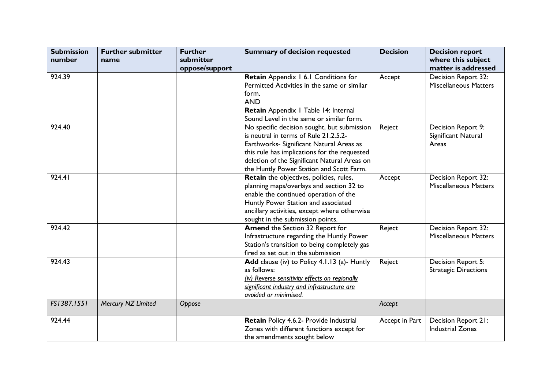| <b>Submission</b><br>number | <b>Further submitter</b><br>name | <b>Further</b><br>submitter<br>oppose/support | <b>Summary of decision requested</b>                                                                                                                                                                                                                                         | <b>Decision</b> | <b>Decision report</b><br>where this subject<br>matter is addressed |
|-----------------------------|----------------------------------|-----------------------------------------------|------------------------------------------------------------------------------------------------------------------------------------------------------------------------------------------------------------------------------------------------------------------------------|-----------------|---------------------------------------------------------------------|
| 924.39                      |                                  |                                               | Retain Appendix 1 6.1 Conditions for<br>Permitted Activities in the same or similar<br>form.<br><b>AND</b><br>Retain Appendix   Table 14: Internal<br>Sound Level in the same or similar form.                                                                               | Accept          | Decision Report 32:<br><b>Miscellaneous Matters</b>                 |
| 924.40                      |                                  |                                               | No specific decision sought, but submission<br>is neutral in terms of Rule 21.2.5.2-<br>Earthworks- Significant Natural Areas as<br>this rule has implications for the requested<br>deletion of the Significant Natural Areas on<br>the Huntly Power Station and Scott Farm. | Reject          | Decision Report 9:<br>Significant Natural<br>Areas                  |
| 924.41                      |                                  |                                               | <b>Retain</b> the objectives, policies, rules,<br>planning maps/overlays and section 32 to<br>enable the continued operation of the<br>Huntly Power Station and associated<br>ancillary activities, except where otherwise<br>sought in the submission points.               | Accept          | Decision Report 32:<br><b>Miscellaneous Matters</b>                 |
| 924.42                      |                                  |                                               | Amend the Section 32 Report for<br>Infrastructure regarding the Huntly Power<br>Station's transition to being completely gas<br>fired as set out in the submission                                                                                                           | Reject          | Decision Report 32:<br><b>Miscellaneous Matters</b>                 |
| 924.43                      |                                  |                                               | Add clause (iv) to Policy 4.1.13 (a)- Huntly<br>as follows:<br>(iv) Reverse sensitivity effects on regionally<br>significant industry and infrastructure are<br>avoided or minimised.                                                                                        | Reject          | Decision Report 5:<br><b>Strategic Directions</b>                   |
| FS1387.1551                 | Mercury NZ Limited               | Oppose                                        |                                                                                                                                                                                                                                                                              | Accept          |                                                                     |
| 924.44                      |                                  |                                               | Retain Policy 4.6.2- Provide Industrial<br>Zones with different functions except for<br>the amendments sought below                                                                                                                                                          | Accept in Part  | Decision Report 21:<br><b>Industrial Zones</b>                      |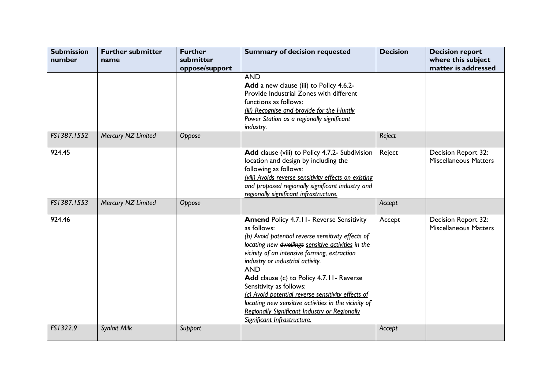| <b>Submission</b><br>number | <b>Further submitter</b><br>name | <b>Further</b><br>submitter<br>oppose/support | <b>Summary of decision requested</b>                                                                                                                                                                                                                                                                                                                                                                                                                                                                                                               | <b>Decision</b> | <b>Decision report</b><br>where this subject<br>matter is addressed |
|-----------------------------|----------------------------------|-----------------------------------------------|----------------------------------------------------------------------------------------------------------------------------------------------------------------------------------------------------------------------------------------------------------------------------------------------------------------------------------------------------------------------------------------------------------------------------------------------------------------------------------------------------------------------------------------------------|-----------------|---------------------------------------------------------------------|
|                             |                                  |                                               | <b>AND</b><br>Add a new clause (iii) to Policy 4.6.2-<br>Provide Industrial Zones with different<br>functions as follows:<br>(iii) Recognise and provide for the Huntly<br>Power Station as a regionally significant<br>industry.                                                                                                                                                                                                                                                                                                                  |                 |                                                                     |
| FS1387.1552                 | Mercury NZ Limited               | Oppose                                        |                                                                                                                                                                                                                                                                                                                                                                                                                                                                                                                                                    | Reject          |                                                                     |
| 924.45                      |                                  |                                               | Add clause (viii) to Policy 4.7.2- Subdivision<br>location and design by including the<br>following as follows:<br>(viii) Avoids reverse sensitivity effects on existing<br>and proposed regionally significant industry and<br>regionally significant infrastructure.                                                                                                                                                                                                                                                                             | Reject          | Decision Report 32:<br><b>Miscellaneous Matters</b>                 |
| FS1387.1553                 | Mercury NZ Limited               | Oppose                                        |                                                                                                                                                                                                                                                                                                                                                                                                                                                                                                                                                    | Accept          |                                                                     |
| 924.46                      |                                  |                                               | <b>Amend Policy 4.7.11 - Reverse Sensitivity</b><br>as follows:<br>(b) Avoid potential reverse sensitivity effects of<br>locating new dwellings sensitive activities in the<br>vicinity of an intensive farming, extraction<br>industry or industrial activity.<br><b>AND</b><br>Add clause (c) to Policy 4.7.11- Reverse<br>Sensitivity as follows:<br>(c) Avoid potential reverse sensitivity effects of<br>locating new sensitive activities in the vicinity of<br>Regionally Significant Industry or Regionally<br>Significant Infrastructure. | Accept          | Decision Report 32:<br><b>Miscellaneous Matters</b>                 |
| FS1322.9                    | <b>Synlait Milk</b>              | Support                                       |                                                                                                                                                                                                                                                                                                                                                                                                                                                                                                                                                    | Accept          |                                                                     |